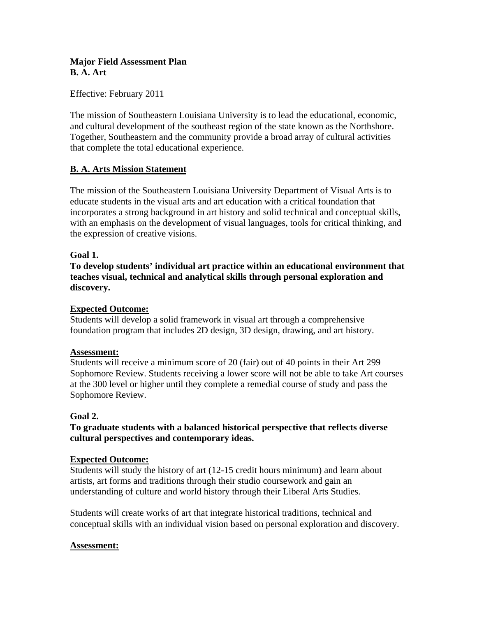# **Major Field Assessment Plan B. A. Art**

Effective: February 2011

The mission of Southeastern Louisiana University is to lead the educational, economic, and cultural development of the southeast region of the state known as the Northshore. Together, Southeastern and the community provide a broad array of cultural activities that complete the total educational experience.

# **B. A. Arts Mission Statement**

The mission of the Southeastern Louisiana University Department of Visual Arts is to educate students in the visual arts and art education with a critical foundation that incorporates a strong background in art history and solid technical and conceptual skills, with an emphasis on the development of visual languages, tools for critical thinking, and the expression of creative visions.

# **Goal 1.**

**To develop students' individual art practice within an educational environment that teaches visual, technical and analytical skills through personal exploration and discovery.** 

# **Expected Outcome:**

Students will develop a solid framework in visual art through a comprehensive foundation program that includes 2D design, 3D design, drawing, and art history.

# **Assessment:**

Students will receive a minimum score of 20 (fair) out of 40 points in their Art 299 Sophomore Review. Students receiving a lower score will not be able to take Art courses at the 300 level or higher until they complete a remedial course of study and pass the Sophomore Review.

# **Goal 2.**

**To graduate students with a balanced historical perspective that reflects diverse cultural perspectives and contemporary ideas.** 

#### **Expected Outcome:**

Students will study the history of art (12-15 credit hours minimum) and learn about artists, art forms and traditions through their studio coursework and gain an understanding of culture and world history through their Liberal Arts Studies.

Students will create works of art that integrate historical traditions, technical and conceptual skills with an individual vision based on personal exploration and discovery.

# **Assessment:**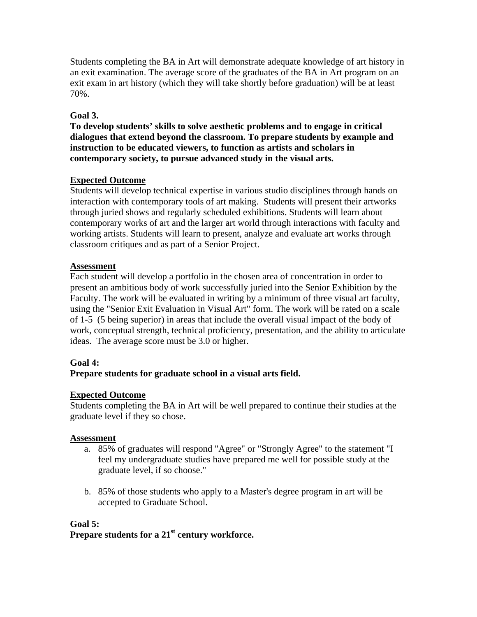Students completing the BA in Art will demonstrate adequate knowledge of art history in an exit examination. The average score of the graduates of the BA in Art program on an exit exam in art history (which they will take shortly before graduation) will be at least 70%.

# **Goal 3.**

**To develop students' skills to solve aesthetic problems and to engage in critical dialogues that extend beyond the classroom. To prepare students by example and instruction to be educated viewers, to function as artists and scholars in contemporary society, to pursue advanced study in the visual arts.** 

# **Expected Outcome**

Students will develop technical expertise in various studio disciplines through hands on interaction with contemporary tools of art making. Students will present their artworks through juried shows and regularly scheduled exhibitions. Students will learn about contemporary works of art and the larger art world through interactions with faculty and working artists. Students will learn to present, analyze and evaluate art works through classroom critiques and as part of a Senior Project.

# **Assessment**

Each student will develop a portfolio in the chosen area of concentration in order to present an ambitious body of work successfully juried into the Senior Exhibition by the Faculty. The work will be evaluated in writing by a minimum of three visual art faculty, using the "Senior Exit Evaluation in Visual Art" form. The work will be rated on a scale of 1-5 (5 being superior) in areas that include the overall visual impact of the body of work, conceptual strength, technical proficiency, presentation, and the ability to articulate ideas. The average score must be 3.0 or higher.

# **Goal 4:**

# **Prepare students for graduate school in a visual arts field.**

# **Expected Outcome**

Students completing the BA in Art will be well prepared to continue their studies at the graduate level if they so chose.

# **Assessment**

- a. 85% of graduates will respond "Agree" or "Strongly Agree" to the statement "I feel my undergraduate studies have prepared me well for possible study at the graduate level, if so choose."
- b. 85% of those students who apply to a Master's degree program in art will be accepted to Graduate School.

# **Goal 5:**

# **Prepare students for a 21st century workforce.**